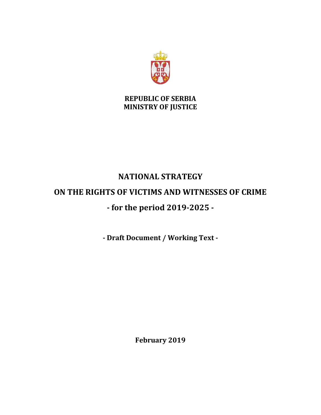

**REPUBLIC OF SERBIA MINISTRY OF JUSTICE**

# **NATIONAL STRATEGY ON THE RIGHTS OF VICTIMS AND WITNESSES OF CRIME - for the period 2019-2025 -**

**- Draft Document / Working Text -**

**February 2019**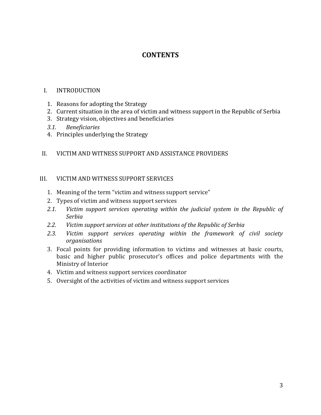# **CONTENTS**

#### I. INTRODUCTION

- 1. Reasons for adopting the Strategy
- 2. Current situation in the area of victim and witness support in the Republic of Serbia
- 3. Strategy vision, objectives and beneficiaries
- *3.1. Beneficiaries*
- 4. Principles underlying the Strategy

#### II. VICTIM AND WITNESS SUPPORT AND ASSISTANCE PROVIDERS

#### III. VICTIM AND WITNESS SUPPORT SERVICES

- 1. Meaning of the term "victim and witness support service"
- 2. Types of victim and witness support services
- *2.1. Victim support services operating within the judicial system in the Republic of Serbia*
- *2.2. Victim support services at other institutions of the Republic of Serbia*
- 2.3. Victim support services operating within the framework of civil society *organisations*
- 3. Focal points for providing information to victims and witnesses at basic courts, basic and higher public prosecutor's offices and police departments with the Ministry of Interior
- 4. Victim and witness support services coordinator
- 5. Oversight of the activities of victim and witness support services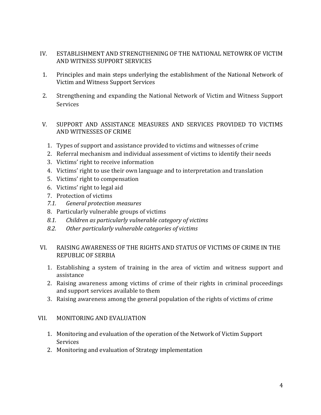- IV. ESTABLISHMENT AND STRENGTHENING OF THE NATIONAL NETOWRK OF VICTIM AND WITNESS SUPPORT SERVICES
- 1. Principles and main steps underlying the establishment of the National Network of Victim and Witness Support Services
- 2. Strengthening and expanding the National Network of Victim and Witness Support Services
- V. SUPPORT AND ASSISTANCE MEASURES AND SERVICES PROVIDED TO VICTIMS AND WITNESSES OF CRIME
	- 1. Types of support and assistance provided to victims and witnesses of crime
	- 2. Referral mechanism and individual assessment of victims to identify their needs
	- 3. Victims' right to receive information
	- 4. Victims' right to use their own language and to interpretation and translation
	- 5. Victims' right to compensation
	- 6. Victims' right to legal aid
	- 7. Protection of victims
	- *7.1. General protection measures*
	- 8. Particularly vulnerable groups of victims
	- *8.1. Children as particularly vulnerable category of victims*
	- *8.2. Other particularly vulnerable categories of victims*

#### VI. RAISING AWARENESS OF THE RIGHTS AND STATUS OF VICTIMS OF CRIME IN THE REPUBLIC OF SERBIA

- 1. Establishing a system of training in the area of victim and witness support and assistance
- 2. Raising awareness among victims of crime of their rights in criminal proceedings and support services available to them
- 3. Raising awareness among the general population of the rights of victims of crime

### VII. MONITORING AND EVALUATION

- 1. Monitoring and evaluation of the operation of the Network of Victim Support **Services**
- 2. Monitoring and evaluation of Strategy implementation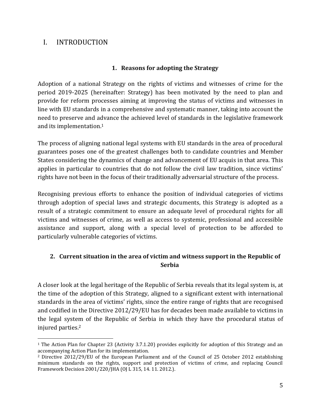# I. INTRODUCTION

 $\overline{a}$ 

#### **1. Reasons for adopting the Strategy**

Adoption of a national Strategy on the rights of victims and witnesses of crime for the period 2019-2025 (hereinafter: Strategy) has been motivated by the need to plan and provide for reform processes aiming at improving the status of victims and witnesses in line with EU standards in a comprehensive and systematic manner, taking into account the need to preserve and advance the achieved level of standards in the legislative framework and its implementation. 1

The process of aligning national legal systems with EU standards in the area of procedural guarantees poses one of the greatest challenges both to candidate countries and Member States considering the dynamics of change and advancement of EU acquis in that area. This applies in particular to countries that do not follow the civil law tradition, since victims' rights have not been in the focus of their traditionally adversarial structure of the process.

Recognising previous efforts to enhance the position of individual categories of victims through adoption of special laws and strategic documents, this Strategy is adopted as a result of a strategic commitment to ensure an adequate level of procedural rights for all victims and witnesses of crime, as well as access to systemic, professional and accessible assistance and support, along with a special level of protection to be afforded to particularly vulnerable categories of victims.

# **2. Current situation in the area of victim and witness support in the Republic of Serbia**

A closer look at the legal heritage of the Republic of Serbia reveals that its legal system is, at the time of the adoption of this Strategy, aligned to a significant extent with international standards in the area of victims' rights, since the entire range of rights that are recognised and codified in the Directive 2012/29/EU has for decades been made available to victims in the legal system of the Republic of Serbia in which they have the procedural status of injured parties. 2

<sup>1</sup> The Action Plan for Chapter 23 (Activity 3.7.1.20) provides explicitly for adoption of this Strategy and an accompanying Action Plan for its implementation.

<sup>2</sup> Directive 2012/29/EU of the European Parliament and of the Council of 25 October 2012 establishing minimum standards on the rights, support and protection of victims of crime, and replacing Council Framework Decision 2001/220/JHA (OJ L 315, 14. 11. 2012.).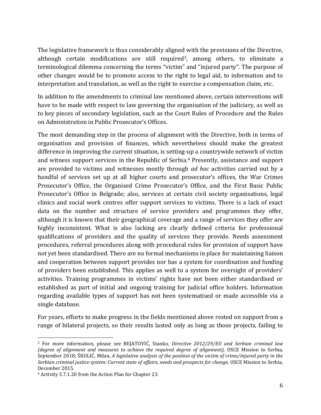The legislative framework is thus considerably aligned with the provisions of the Directive, although certain modifications are still required<sup>3</sup>, among others, to eliminate a terminological dilemma concerning the terms "victim" and "injured party". The purpose of other changes would be to promote access to the right to legal aid, to information and to interpretation and translation, as well as the right to exercise a compensation claim, etc.

In addition to the amendments to criminal law mentioned above, certain interventions will have to be made with respect to law governing the organisation of the judiciary, as well as to key pieces of secondary legislation, such as the Court Rules of Procedure and the Rules on Administration in Public Prosecutor's Offices.

The most demanding step in the process of alignment with the Directive, both in terms of organisation and provision of finances, which nevertheless should make the greatest difference in improving the current situation, is setting-up a countrywide network of victim and witness support services in the Republic of Serbia.<sup>4</sup> Presently, assistance and support are provided to victims and witnesses mostly through *ad hoc* activities carried out by a handful of services set up at all higher courts and prosecutor's offices, the War Crimes Prosecutor's Office, the Organised Crime Prosecutor's Office, and the First Basic Public Prosecutor's Office in Belgrade; also, services at certain civil society organisations, legal clinics and social work centres offer support services to victims. There is a lack of exact data on the number and structure of service providers and programmes they offer, although it is known that their geographical coverage and a range of services they offer are highly inconsistent. What is also lacking are clearly defined criteria for professional qualifications of providers and the quality of services they provide. Needs assessment procedures, referral procedures along with procedural rules for provision of support have not yet been standardised. There are no formal mechanisms in place for maintaining liaison and cooperation between support provides nor has a system for coordination and funding of providers been established. This applies as well to a system for oversight of providers' activities. Training programmes in victims' rights have not been either standardised or established as part of initial and ongoing training for judicial office holders. Information regarding available types of support has not been systematised or made accessible via a single database.

For years, efforts to make progress in the fields mentioned above rested on support from a range of bilateral projects, so their results lasted only as long as those projects, failing to

l

<sup>3</sup> For more information, please see BEJATOVIĆ, Stanko, *Directive 2012/29/ЕU and Serbian criminal law (degree of alignment and measures to achieve the required degree of alignment),* OSCE Mission to Serbia, September 2018; ŠKULIĆ, Milan, *A legislative analysis of the position of the victim of crime/injured party in the Serbian criminal justice system: Current state of affairs, needs and prospects for change,* OSCE Mission to Serbia, December 2015.

<sup>4</sup> Activity 3.7.1.20 from the Action Plan for Chapter 23.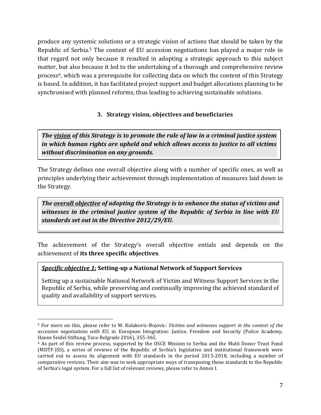produce any systemic solutions or a strategic vision of actions that should be taken by the Republic of Serbia.<sup>5</sup> The context of EU accession negotiations has played a major role in that regard not only because it resulted in adopting a strategic approach to this subject matter, but also because it led to the undertaking of a thorough and comprehensive review process6, which was a prerequisite for collecting data on which the content of this Strategy is based. In addition, it has facilitated project support and budget allocations planning to be synchronised with planned reforms, thus leading to achieving sustainable solutions.

### **3. Strategy vision, objectives and beneficiaries**

*The vision of this Strategy is to promote the rule of law in a criminal justice system in which human rights are upheld and which allows access to justice to all victims without discrimination on any grounds.* 

The Strategy defines one overall objective along with a number of specific ones, as well as principles underlying their achievement through implementation of measures laid down in the Strategy.

*The overall objective of adopting the Strategy is to enhance the status of victims and witnesses in the criminal justice system of the Republic of Serbia in line with EU standards set out in the Directive 2012/29/EU.* 

The achievement of the Strategy's overall objective entials and depends on the achievement of **its three specific objectives**.

#### *Specific objective 1:* **Setting-up a National Network of Support Services**

 $\overline{a}$ 

Setting up a sustainable National Network of Victim and Witness Support Services in the Republic of Serbia, while preserving and continually improving the achieved standard of quality and availability of support services.

<sup>5</sup> For more on this, please refer to М. Kolakovic-Bojovic: *Victims and witnesses support in the context of the accession negotiations with EU*, in European Integration: Justice, Freedom and Security (Police Academy, Hanns Seidel Stiftung, Tara-Belgrade 2016), 355-365.

<sup>6</sup> As part of this review process, supported by the OSCE Mission to Serbia and the Multi Donor Trust Fund (MDTF-JSS), a series of reviews of the Republic of Serbia's legislative and institutional framework were carried out to assess its alignment with EU standards in the period 2015-2018, including a number of comparative reviews. Their aim was to seek appropriate ways of transposing those standards to the Republic of Serbia's legal system. For a full list of relevant reviews, please refer to Annex I.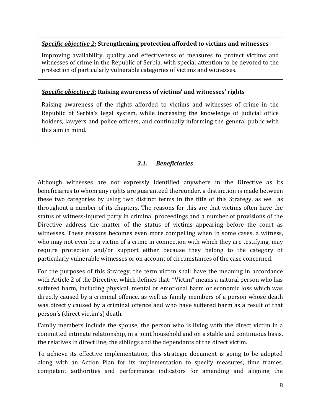#### *Specific objective 2:* **Strengthening protection afforded to victims and witnesses**

Improving availability, quality and effectiveness of measures to protect victims and witnesses of crime in the Republic of Serbia, with special attention to be devoted to the protection of particularly vulnerable categories of victims and witnesses.

#### *Specific objective 3:* **Raising awareness of victims' and witnesses' rights**

Raising awareness of the rights afforded to victims and witnesses of crime in the Republic of Serbia's legal system, while increasing the knowledge of judicial office holders, lawyers and police officers, and continually informing the general public with this aim in mind.

### *3.1. Beneficiaries*

Although witnesses are not expressly identified anywhere in the Directive as its beneficiaries to whom any rights are guaranteed thereunder, a distinction is made between these two categories by using two distinct terms in the title of this Strategy, as well as throughout a number of its chapters. The reasons for this are that victims often have the status of witness-injured party in criminal proceedings and a number of provisions of the Directive address the matter of the status of victims appearing before the court as witnesses. These reasons becomes even more compelling when in some cases, a witness, who may not even be a victim of a crime in connection with which they are testifying, may require protection and/or support either because they belong to the category of particularly vulnerable witnesses or on account of circumstances of the case concerned.

For the purposes of this Strategy, the term victim shall have the meaning in accordance with Article 2 of the Directive, which defines that: "Victim" means a natural person who has suffered harm, including physical, mental or emotional harm or economic loss which was directly caused by a criminal offence, as well as family members of a person whose death was directly caused by a criminal offence and who have suffered harm as a result of that person's (direct victim's) death.

Family members include the spouse, the person who is living with the direct victim in a committed intimate relationship, in a joint household and on a stable and continuous basis, the relatives in direct line, the siblings and the dependants of the direct victim.

To achieve its effective implementation, this strategic document is going to be adopted along with an Action Plan for its implementation to specify measures, time frames, competent authorities and performance indicators for amending and aligning the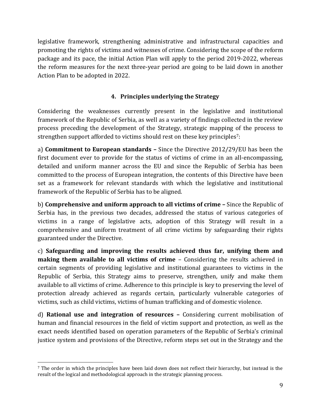legislative framework, strengthening administrative and infrastructural capacities and promoting the rights of victims and witnesses of crime. Considering the scope of the reform package and its pace, the initial Action Plan will apply to the period 2019-2022, whereas the reform measures for the next three-year period are going to be laid down in another Action Plan to be adopted in 2022.

# **4. Principles underlying the Strategy**

Considering the weaknesses currently present in the legislative and institutional framework of the Republic of Serbia, as well as a variety of findings collected in the review process preceding the development of the Strategy, strategic mapping of the process to strengthen support afforded to victims should rest on these key principles7:

а) **Commitment to European standards –** Since the Directive 2012/29/EU has been the first document ever to provide for the status of victims of crime in an all-encompassing, detailed and uniform manner across the EU and since the Republic of Serbia has been committed to the process of European integration, the contents of this Directive have been set as a framework for relevant standards with which the legislative and institutional framework of the Republic of Serbia has to be aligned.

b) **Comprehensive and uniform approach to all victims of crime –** Since the Republic of Serbia has, in the previous two decades, addressed the status of various categories of victims in a range of legislative acts, adoption of this Strategy will result in a comprehensive and uniform treatment of all crime victims by safeguarding their rights guaranteed under the Directive.

c) **Safeguarding and improving the results achieved thus far, unifying them and making them available to all victims of crime** – Considering the results achieved in certain segments of providing legislative and institutional guarantees to victims in the Republic of Serbia, this Strategy aims to preserve, strengthen, unify and make them available to all victims of crime. Adherence to this principle is key to preserving the level of protection already achieved as regards certain, particularly vulnerable categories of victims, such as child victims, victims of human trafficking and of domestic violence.

d) **Rational use and integration of resources –** Considering current mobilisation of human and financial resources in the field of victim support and protection, as well as the exact needs identified based on operation parameters of the Republic of Serbia's criminal justice system and provisions of the Directive, reform steps set out in the Strategy and the

 $\overline{a}$ 

<sup>7</sup> The order in which the principles have been laid down does not reflect their hierarchy, but instead is the result of the logical and methodological approach in the strategic planning process.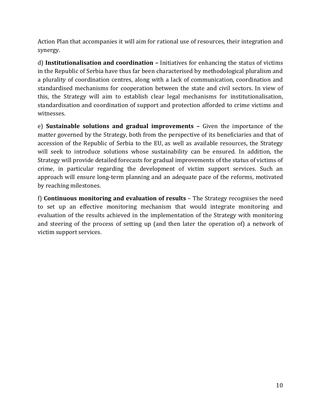Action Plan that accompanies it will aim for rational use of resources, their integration and synergy.

d) **Institutionalisation and coordination –** Initiatives for enhancing the status of victims in the Republic of Serbia have thus far been characterised by methodological pluralism and a plurality of coordination centres, along with a lack of communication, coordination and standardised mechanisms for cooperation between the state and civil sectors. In view of this, the Strategy will aim to establish clear legal mechanisms for institutionalisation, standardisation and coordination of support and protection afforded to crime victims and witnesses.

e) **Sustainable solutions and gradual improvements –** Given the importance of the matter governed by the Strategy, both from the perspective of its beneficiaries and that of accession of the Republic of Serbia to the EU, as well as available resources, the Strategy will seek to introduce solutions whose sustainability can be ensured. In addition, the Strategy will provide detailed forecasts for gradual improvements of the status of victims of crime, in particular regarding the development of victim support services. Such an approach will ensure long-term planning and an adequate pace of the reforms, motivated by reaching milestones.

f) **Continuous monitoring and evaluation of results** – The Strategy recognises the need to set up an effective monitoring mechanism that would integrate monitoring and evaluation of the results achieved in the implementation of the Strategy with monitoring and steering of the process of setting up (and then later the operation of) a network of victim support services.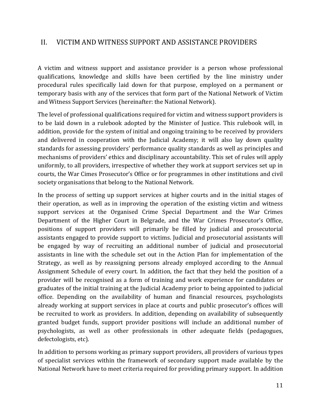# II. VICTIM AND WITNESS SUPPORT AND ASSISTANCE PROVIDERS

A victim and witness support and assistance provider is a person whose professional qualifications, knowledge and skills have been certified by the line ministry under procedural rules specifically laid down for that purpose, employed on a permanent or temporary basis with any of the services that form part of the National Network of Victim and Witness Support Services (hereinafter: the National Network).

The level of professional qualifications required for victim and witness support providers is to be laid down in a rulebook adopted by the Minister of Justice. This rulebook will, in addition, provide for the system of initial and ongoing training to be received by providers and delivered in cooperation with the Judicial Academy; it will also lay down quality standards for assessing providers' performance quality standards as well as principles and mechanisms of providers' ethics and disciplinary accountability. This set of rules will apply uniformly, to all providers, irrespective of whether they work at support services set up in courts, the War Cimes Prosecutor's Office or for programmes in other institutions and civil society organisations that belong to the National Network.

In the process of setting up support services at higher courts and in the initial stages of their operation, as well as in improving the operation of the existing victim and witness support services at the Organised Crime Special Department and the War Crimes Department of the Higher Court in Belgrade, and the War Crimes Prosecutor's Office, positions of support providers will primarily be filled by judicial and prosecutorial assistants engaged to provide support to victims. Judicial and prosecutorial assistants will be engaged by way of recruiting an additional number of judicial and prosecutorial assistants in line with the schedule set out in the Action Plan for implementation of the Strategy, as well as by reassigning persons already employed according to the Annual Assignment Schedule of every court. In addition, the fact that they held the position of a provider will be recognised as a form of training and work experience for candidates or graduates of the initial training at the Judicial Academy prior to being appointed to judicial office. Depending on the availability of human and financial resources, psychologists already working at support services in place at courts and public prosecutor's offices will be recruited to work as providers. In addition, depending on availability of subsequently granted budget funds, support provider positions will include an additional number of psychologists, as well as other professionals in other adequate fields (pedagogues, defectologists, etc).

In addition to persons working as primary support providers, all providers of various types of specialist services within the framework of secondary support made available by the National Network have to meet criteria required for providing primary support. In addition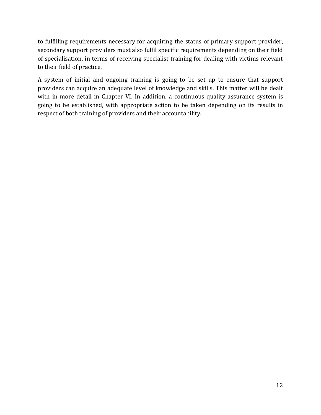to fulfilling requirements necessary for acquiring the status of primary support provider, secondary support providers must also fulfil specific requirements depending on their field of specialisation, in terms of receiving specialist training for dealing with victims relevant to their field of practice.

A system of initial and ongoing training is going to be set up to ensure that support providers can acquire an adequate level of knowledge and skills. This matter will be dealt with in more detail in Chapter VI. In addition, a continuous quality assurance system is going to be established, with appropriate action to be taken depending on its results in respect of both training of providers and their accountability.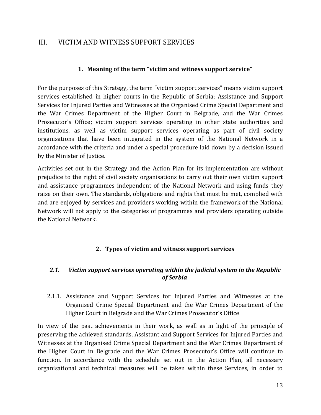# III. VICTIM AND WITNESS SUPPORT SERVICES

### **1. Meaning of the term "victim and witness support service"**

For the purposes of this Strategy, the term "victim support services" means victim support services established in higher courts in the Republic of Serbia; Assistance and Support Services for Injured Parties and Witnesses at the Organised Crime Special Department and the War Crimes Department of the Higher Court in Belgrade, and the War Crimes Prosecutor's Office; victim support services operating in other state authorities and institutions, as well as victim support services operating as part of civil society organisations that have been integrated in the system of the National Network in a accordance with the criteria and under a special procedure laid down by a decision issued by the Minister of Justice.

Activities set out in the Strategy and the Action Plan for its implementation are without prejudice to the right of civil society organisations to carry out their own victim support and assistance programmes independent of the National Network and using funds they raise on their own. The standards, obligations and rights that must be met, complied with and are enjoyed by services and providers working within the framework of the National Network will not apply to the categories of programmes and providers operating outside the National Network.

### **2. Types of victim and witness support services**

### *2.1. Victim support services operating within the judicial system in the Republic of Serbia*

2.1.1. Assistance and Support Services for Injured Parties and Witnesses at the Organised Crime Special Department and the War Crimes Department of the Higher Court in Belgrade and the War Crimes Prosecutor's Office

In view of the past achievements in their work, as wall as in light of the principle of preserving the achieved standards, Assistant and Support Services for Injured Parties and Witnesses at the Organised Crime Special Department and the War Crimes Department of the Higher Court in Belgrade and the War Crimes Prosecutor's Office will continue to function. In accordance with the schedule set out in the Action Plan, all necessary organisational and technical measures will be taken within these Services, in order to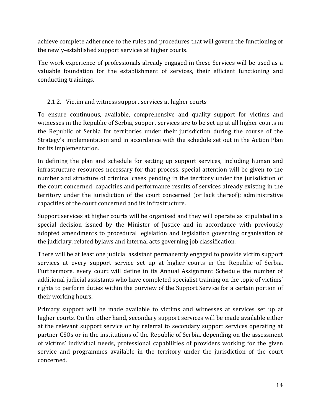achieve complete adherence to the rules and procedures that will govern the functioning of the newly-established support services at higher courts.

The work experience of professionals already engaged in these Services will be used as a valuable foundation for the establishment of services, their efficient functioning and conducting trainings.

### 2.1.2. Victim and witness support services at higher courts

To ensure continuous, available, comprehensive and quality support for victims and witnesses in the Republic of Serbia, support services are to be set up at all higher courts in the Republic of Serbia for territories under their jurisdiction during the course of the Strategy's implementation and in accordance with the schedule set out in the Action Plan for its implementation.

In defining the plan and schedule for setting up support services, including human and infrastructure resources necessary for that process, special attention will be given to the number and structure of criminal cases pending in the territory under the jurisdiction of the court concerned; capacities and performance results of services already existing in the territory under the jurisdiction of the court concerned (or lack thereof); administrative capacities of the court concerned and its infrastructure.

Support services at higher courts will be organised and they will operate as stipulated in a special decision issued by the Minister of Justice and in accordance with previously adopted amendments to procedural legislation and legislation governing organisation of the judiciary, related bylaws and internal acts governing job classification.

There will be at least one judicial assistant permanently engaged to provide victim support services at every support service set up at higher courts in the Republic of Serbia. Furthermore, every court will define in its Annual Assignment Schedule the number of additional judicial assistants who have completed specialist training on the topic of victims' rights to perform duties within the purview of the Support Service for a certain portion of their working hours.

Primary support will be made available to victims and witnesses at services set up at higher courts. On the other hand, secondary support services will be made available either at the relevant support service or by referral to secondary support services operating at partner CSOs or in the institutions of the Republic of Serbia, depending on the assessment of victims' individual needs, professional capabilities of providers working for the given service and programmes available in the territory under the jurisdiction of the court concerned.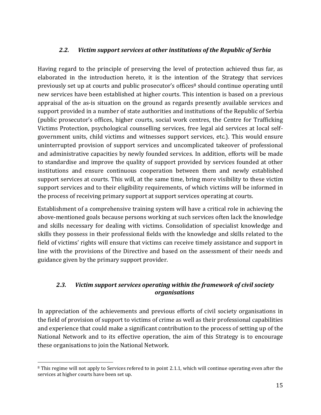### *2.2. Victim support services at other institutions of the Republic of Serbia*

Having regard to the principle of preserving the level of protection achieved thus far, as elaborated in the introduction hereto, it is the intention of the Strategy that services previously set up at courts and public prosecutor's offices<sup>8</sup> should continue operating until new services have been established at higher courts. This intention is based on a previous appraisal of the as-is situation on the ground as regards presently available services and support provided in a number of state authorities and institutions of the Republic of Serbia (public prosecutor's offices, higher courts, social work centres, the Centre for Trafficking Victims Protection, psychological counselling services, free legal aid services at local selfgovernment units, child victims and witnesses support services, etc.). This would ensure uninterrupted provision of support services and uncomplicated takeover of professional and administrative capacities by newly founded services. In addition, efforts will be made to standardise and improve the quality of support provided by services founded at other institutions and ensure continuous cooperation between them and newly established support services at courts. This will, at the same time, bring more visibility to these victim support services and to their eligibility requirements, of which victims will be informed in the process of receiving primary support at support services operating at courts.

Establishment of a comprehensive training system will have a critical role in achieving the above-mentioned goals because persons working at such services often lack the knowledge and skills necessary for dealing with victims. Consolidation of specialist knowledge and skills they possess in their professional fields with the knowledge and skills related to the field of victims' rights will ensure that victims can receive timely assistance and support in line with the provisions of the Directive and based on the assessment of their needs and guidance given by the primary support provider.

### *2.3. Victim support services operating within the framework of civil society organisations*

In appreciation of the achievements and previous efforts of civil society organisations in the field of provision of support to victims of crime as well as their professional capabilities and experience that could make a significant contribution to the process of setting up of the National Network and to its effective operation, the aim of this Strategy is to encourage these organisations to join the National Network.

 $\overline{a}$ 

<sup>&</sup>lt;sup>8</sup> This regime will not apply to Services refered to in point 2.1.1, which will continue operating even after the services at higher courts have been set up.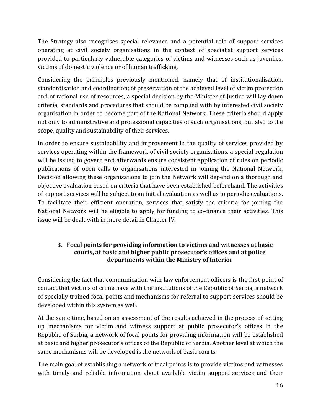The Strategy also recognises special relevance and a potential role of support services operating at civil society organisations in the context of specialist support services provided to particularly vulnerable categories of victims and witnesses such as juveniles, victims of domestic violence or of human trafficking.

Considering the principles previously mentioned, namely that of institutionalisation, standardisation and coordination; of preservation of the achieved level of victim protection and of rational use of resources, a special decision by the Minister of Justice will lay down criteria, standards and procedures that should be complied with by interested civil society organisation in order to become part of the National Network. These criteria should apply not only to administrative and professional capacities of such organisations, but also to the scope, quality and sustainability of their services.

In order to ensure sustainability and improvement in the quality of services provided by services operating within the framework of civil society organisations, a special regulation will be issued to govern and afterwards ensure consistent application of rules on periodic publications of open calls to organisations interested in joining the National Network. Decision allowing these organisations to join the Network will depend on a thorough and objective evaluation based on criteria that have been established beforehand. The activities of support services will be subject to an initial evaluation as well as to periodic evaluations. To facilitate their efficient operation, services that satisfy the criteria for joining the National Network will be eligible to apply for funding to co-finance their activities. This issue will be dealt with in more detail in Chapter IV.

### **3. Focal points for providing information to victims and witnesses at basic courts, at basic and higher public prosecutor's offices and at police departments within the Ministry of Interior**

Considering the fact that communication with law enforcement officers is the first point of contact that victims of crime have with the institutions of the Republic of Serbia, a network of specially trained focal points and mechanisms for referral to support services should be developed within this system as well.

At the same time, based on an assessment of the results achieved in the process of setting up mechanisms for victim and witness support at public prosecutor's offices in the Republic of Serbia, a network of focal points for providing information will be established at basic and higher prosecutor's offices of the Republic of Serbia. Another level at which the same mechanisms will be developed is the network of basic courts.

The main goal of establishing a network of focal points is to provide victims and witnesses with timely and reliable information about available victim support services and their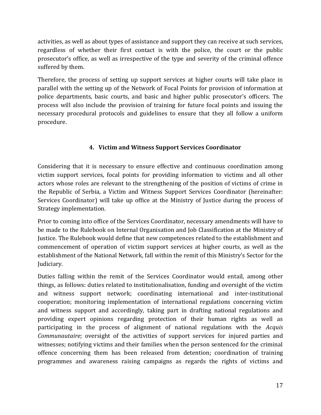activities, as well as about types of assistance and support they can receive at such services, regardless of whether their first contact is with the police, the court or the public prosecutor's office, as well as irrespective of the type and severity of the criminal offence suffered by them.

Therefore, the process of setting up support services at higher courts will take place in parallel with the setting up of the Network of Focal Points for provision of information at police departments, basic courts, and basic and higher public prosecutor's officers. The process will also include the provision of training for future focal points and issuing the necessary procedural protocols and guidelines to ensure that they all follow a uniform procedure.

# **4. Victim and Witness Support Services Coordinator**

Considering that it is necessary to ensure effective and continuous coordination among victim support services, focal points for providing information to victims and all other actors whose roles are relevant to the strengthening of the position of victims of crime in the Republic of Serbia, a Victim and Witness Support Services Coordinator (hereinafter: Services Coordinator) will take up office at the Ministry of Justice during the process of Strategy implementation.

Prior to coming into office of the Services Coordinator, necessary amendments will have to be made to the Rulebook on Internal Organisation and Job Classification at the Ministry of Justice. The Rulebook would define that new competences related to the establishment and commencement of operation of victim support services at higher courts, as well as the establishment of the National Network, fall within the remit of this Ministry's Sector for the Judiciary.

Duties falling within the remit of the Services Coordinator would entail, among other things, as follows: duties related to institutionalisation, funding and oversight of the victim and witness support network; coordinating international and inter-institutional cooperation; monitoring implementation of international regulations concerning victim and witness support and accordingly, taking part in drafting national regulations and providing expert opinions regarding protection of their human rights as well as participating in the process of alignment of national regulations with the *Аcquis Communautaire*; oversight of the activities of support services for injured parties and witnesses; notifying victims and their families when the person sentenced for the criminal offence concerning them has been released from detention; coordination of training programmes and awareness raising campaigns as regards the rights of victims and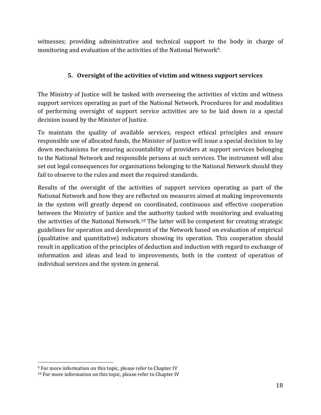witnesses; providing administrative and technical support to the body in charge of monitoring and evaluation of the activities of the National Network<sup>9</sup>.

### **5. Oversight of the activities of victim and witness support services**

The Ministry of Justice will be tasked with overseeing the activities of victim and witness support services operating as part of the National Network. Procedures for and modalities of performing oversight of support service activities are to be laid down in a special decision issued by the Minister of Justice.

To maintain the quality of available services, respect ethical principles and ensure responsible use of allocated funds, the Minister of Justice will issue a special decision to lay down mechanisms for ensuring accountability of providers at support services belonging to the National Network and responsible persons at such services. The instrument will also set out legal consequences for organisations belonging to the National Network should they fail to observe to the rules and meet the required standards.

Results of the oversight of the activities of support services operating as part of the National Network and how they are reflected on measures aimed at making improvements in the system will greatly depend on coordinated, continuous and effective cooperation between the Ministry of Justice and the authority tasked with monitoring and evaluating the activities of the National Network.<sup>10</sup> The latter will be competent for creating strategic guidelines for operation and development of the Network based on evaluation of empirical (qualitative and quantitative) indicators showing its operation. This cooperation should result in application of the principles of deduction and induction with regard to exchange of information and ideas and lead to improvements, both in the context of operation of individual services and the system in general.

 $\overline{a}$ 

<sup>9</sup> For more information on this topic, please refer to Chapter IV

<sup>&</sup>lt;sup>10</sup> For more information on this topic, please refer to Chapter IV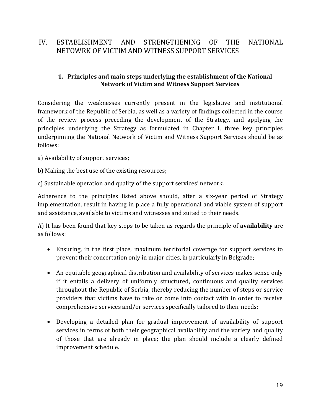# IV. ESTABLISHMENT AND STRENGTHENING OF THE NATIONAL NETOWRK OF VICTIM AND WITNESS SUPPORT SERVICES

### **1. Principles and main steps underlying the establishment of the National Network of Victim and Witness Support Services**

Considering the weaknesses currently present in the legislative and institutional framework of the Republic of Serbia, as well as a variety of findings collected in the course of the review process preceding the development of the Strategy, and applying the principles underlying the Strategy as formulated in Chapter I, three key principles underpinning the National Network of Victim and Witness Support Services should be as follows:

а) Availability of support services;

b) Making the best use of the existing resources;

c) Sustainable operation and quality of the support services' network.

Adherence to the principles listed above should, after a six-year period of Strategy implementation, result in having in place a fully operational and viable system of support and assistance, available to victims and witnesses and suited to their needs.

А) It has been found that key steps to be taken as regards the principle of **availability** are as follows:

- Ensuring, in the first place, maximum territorial coverage for support services to prevent their concertation only in major cities, in particularly in Belgrade;
- An equitable geographical distribution and availability of services makes sense only if it entails a delivery of uniformly structured, continuous and quality services throughout the Republic of Serbia, thereby reducing the number of steps or service providers that victims have to take or come into contact with in order to receive comprehensive services and/or services specifically tailored to their needs;
- Developing a detailed plan for gradual improvement of availability of support services in terms of both their geographical availability and the variety and quality of those that are already in place; the plan should include a clearly defined improvement schedule.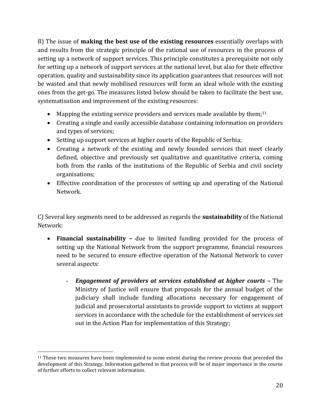B) The issue of **making the best use of the existing resources** essentially overlaps with and results from the strategic principle of the rational use of resources in the process of setting up a network of support services. This principle constitutes a prerequisite not only for setting up a network of support services at the national level, but also for their effective operation, quality and sustainability since its application guarantees that resources will not be wasted and that newly mobilised resources will form an ideal whole with the existing ones from the get-go. The measures listed below should be taken to facilitate the best use, systematisation and improvement of the existing resources:

- Mapping the existing service providers and services made available by them;<sup>11</sup>
- Creating a single and easily accessible database containing information on providers and types of services;
- Setting up support services at higher courts of the Republic of Serbia;
- Creating a network of the existing and newly founded services that meet clearly defined, objective and previously set qualitative and quantitative criteria, coming both from the ranks of the institutions of the Republic of Serbia and civil society organisations;
- Effective coordination of the processes of setting up and operating of the National Network.

C) Several key segments need to be addressed as regards the **sustainability** of the National Network:

- **Financial sustainability –** due to limited funding provided for the process of setting up the National Network from the support programme, financial resources need to be secured to ensure effective operation of the National Network to cover several aspects:
	- *Engagement of providers at services established at higher courts –* The Ministry of Justice will ensure that proposals for the annual budget of the judiciary shall include funding allocations necessary for engagement of judicial and prosecutorial assistants to provide support to victims at support services in accordance with the schedule for the establishment of services set out in the Action Plan for implementation of this Strategy;

 $\overline{a}$ 

<sup>11</sup> These two measures have been implemented to some extent during the review process that preceded the development of this Strategy. Information gathered in that process will be of major importance in the course of further efforts to collect relevant information.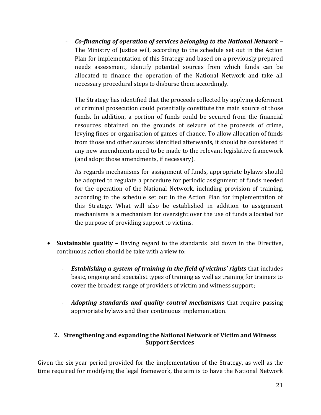- *Co-financing of operation of services belonging to the National Network –* The Ministry of Justice will, according to the schedule set out in the Action Plan for implementation of this Strategy and based on a previously prepared needs assessment, identify potential sources from which funds can be allocated to finance the operation of the National Network and take all necessary procedural steps to disburse them accordingly.

The Strategy has identified that the proceeds collected by applying deferment of criminal prosecution could potentially constitute the main source of those funds. In addition, a portion of funds could be secured from the financial resources obtained on the grounds of seizure of the proceeds of crime, levying fines or organisation of games of chance. To allow allocation of funds from those and other sources identified afterwards, it should be considered if any new amendments need to be made to the relevant legislative framework (and adopt those amendments, if necessary).

As regards mechanisms for assignment of funds, appropriate bylaws should be adopted to regulate a procedure for periodic assignment of funds needed for the operation of the National Network, including provision of training, according to the schedule set out in the Action Plan for implementation of this Strategy. What will also be established in addition to assignment mechanisms is a mechanism for oversight over the use of funds allocated for the purpose of providing support to victims.

- **Sustainable quality –** Having regard to the standards laid down in the Directive, continuous action should be take with a view to:
	- *Establishing a system of training in the field of victims' rights* that includes basic, ongoing and specialist types of training as well as training for trainers to cover the broadest range of providers of victim and witness support;
	- *Adopting standards and quality control mechanisms* that require passing appropriate bylaws and their continuous implementation.

# **2. Strengthening and expanding the National Network of Victim and Witness Support Services**

Given the six-year period provided for the implementation of the Strategy, as well as the time required for modifying the legal framework, the aim is to have the National Network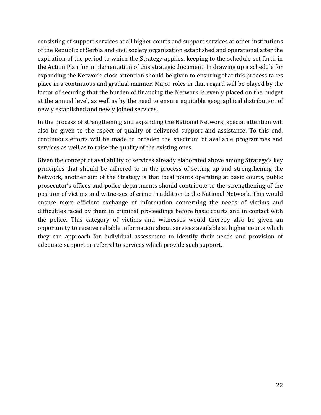consisting of support services at all higher courts and support services at other institutions of the Republic of Serbia and civil society organisation established and operational after the expiration of the period to which the Strategy applies, keeping to the schedule set forth in the Action Plan for implementation of this strategic document. In drawing up a schedule for expanding the Network, close attention should be given to ensuring that this process takes place in a continuous and gradual manner. Major roles in that regard will be played by the factor of securing that the burden of financing the Network is evenly placed on the budget at the annual level, as well as by the need to ensure equitable geographical distribution of newly established and newly joined services.

In the process of strengthening and expanding the National Network, special attention will also be given to the aspect of quality of delivered support and assistance. To this end, continuous efforts will be made to broaden the spectrum of available programmes and services as well as to raise the quality of the existing ones.

Given the concept of availability of services already elaborated above among Strategy's key principles that should be adhered to in the process of setting up and strengthening the Network, another aim of the Strategy is that focal points operating at basic courts, public prosecutor's offices and police departments should contribute to the strengthening of the position of victims and witnesses of crime in addition to the National Network. This would ensure more efficient exchange of information concerning the needs of victims and difficulties faced by them in criminal proceedings before basic courts and in contact with the police. This category of victims and witnesses would thereby also be given an opportunity to receive reliable information about services available at higher courts which they can approach for individual assessment to identify their needs and provision of adequate support or referral to services which provide such support.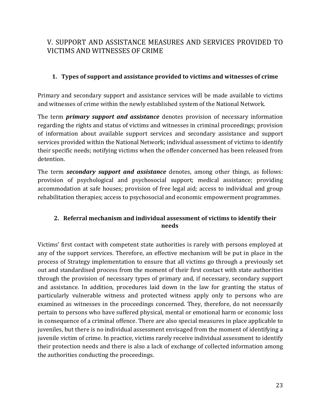# V. SUPPORT AND ASSISTANCE MEASURES AND SERVICES PROVIDED TO VICTIMS AND WITNESSES OF CRIME

### **1. Types of support and assistance provided to victims and witnesses of crime**

Primary and secondary support and assistance services will be made available to victims and witnesses of crime within the newly established system of the National Network.

The term *primary support and assistance* denotes provision of necessary information regarding the rights and status of victims and witnesses in criminal proceedings; provision of information about available support services and secondary assistance and support services provided within the National Network; individual assessment of victims to identify their specific needs; notifying victims when the offender concerned has been released from detention.

The term *secondary support and assistance* denotes, among other things, as follows: provision of psychological and psychosocial support; medical assistance; providing accommodation at safe houses; provision of free legal aid; access to individual and group rehabilitation therapies; access to psychosocial and economic empowerment programmes.

### **2. Referral mechanism and individual assessment of victims to identify their needs**

Victims' first contact with competent state authorities is rarely with persons employed at any of the support services. Therefore, an effective mechanism will be put in place in the process of Strategy implementation to ensure that all victims go through a previously set out and standardised process from the moment of their first contact with state authorities through the provision of necessary types of primary and, if necessary, secondary support and assistance. In addition, procedures laid down in the law for granting the status of particularly vulnerable witness and protected witness apply only to persons who are examined as witnesses in the proceedings concerned. They, therefore, do not necessarily pertain to persons who have suffered physical, mental or emotional harm or economic loss in consequence of a criminal offence. There are also special measures in place applicable to juveniles, but there is no individual assessment envisaged from the moment of identifying a juvenile victim of crime. In practice, victims rarely receive individual assessment to identify their protection needs and there is also a lack of exchange of collected information among the authorities conducting the proceedings.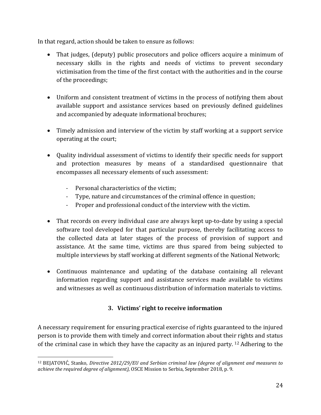In that regard, action should be taken to ensure as follows:

- That judges, (deputy) public prosecutors and police officers acquire a minimum of necessary skills in the rights and needs of victims to prevent secondary victimisation from the time of the first contact with the authorities and in the course of the proceedings;
- Uniform and consistent treatment of victims in the process of notifying them about available support and assistance services based on previously defined guidelines and accompanied by adequate informational brochures;
- Timely admission and interview of the victim by staff working at a support service operating at the court;
- Quality individual assessment of victims to identify their specific needs for support and protection measures by means of a standardised questionnaire that encompasses all necessary elements of such assessment:
	- Personal characteristics of the victim;
	- Type, nature and circumstances of the criminal offence in question;
	- Proper and professional conduct of the interview with the victim.
- That records on every individual case are always kept up-to-date by using a special software tool developed for that particular purpose, thereby facilitating access to the collected data at later stages of the process of provision of support and assistance. At the same time, victims are thus spared from being subjected to multiple interviews by staff working at different segments of the National Network;
- Continuous maintenance and updating of the database containing all relevant information regarding support and assistance services made available to victims and witnesses as well as continuous distribution of information materials to victims.

# **3. Victims' right to receive information**

A necessary requirement for ensuring practical exercise of rights guaranteed to the injured person is to provide them with timely and correct information about their rights and status of the criminal case in which they have the capacity as an injured party. <sup>12</sup> Adhering to the

 $\overline{a}$ <sup>12</sup> BEJATOVIĆ, Stanko, *Directive 2012/29/ЕU and Serbian criminal law (degree of alignment and measures to achieve the required degree of alignment),* OSCE Mission to Serbia, September 2018, p. 9.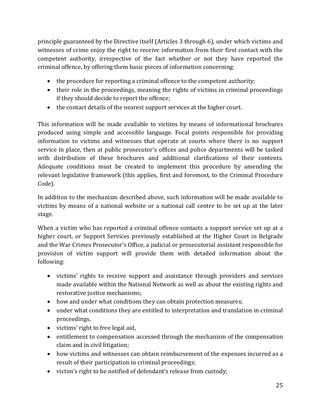principle guaranteed by the Directive itself (Articles 3 through 6), under which victims and witnesses of crime enjoy the right to receive information from their first contact with the competent authority, irrespective of the fact whether or not they have reported the criminal offence, by offering them basic pieces of information concerning:

- the procedure for reporting a criminal offence to the competent authority;
- their role in the proceedings, meaning the rights of victims in criminal proceedings if they should decide to report the offence;
- the contact details of the nearest support services at the higher court.

This information will be made available to victims by means of informational brochures produced using simple and accessible language. Focal points responsible for providing information to victims and witnesses that operate at courts where there is no support service in place, then at public prosecutor's offices and police departments will be tasked with distribution of these brochures and additional clarifications of their contents. Adequate conditions must be created to implement this procedure by amending the relevant legislative framework (this applies, first and foremost, to the Criminal Procedure Code).

In addition to the mechanism described above, such information will be made available to victims by means of a national website or a national call centre to be set up at the later stage.

When a victim who has reported a criminal offence contacts a support service set up at a higher court, or Support Services previously established at the Higher Court in Belgrade and the War Crimes Prosecutor's Office, a judicial or prosecutorial assistant responsible for provision of victim support will provide them with detailed information about the following:

- victims' rights to receive support and assistance through providers and services made available within the National Network as well as about the existing rights and restorative justice mechanisms;
- how and under what conditions they can obtain protection measures;
- under what conditions they are entitled to interpretation and translation in criminal proceedings,
- victims' right to free legal aid,
- entitlement to compensation accessed through the mechanism of the compensation claim and in civil litigation;
- how victims and witnesses can obtain reimbursement of the expenses incurred as a result of their participation in criminal proceedings;
- victim's right to be notified of defendant's release from custody;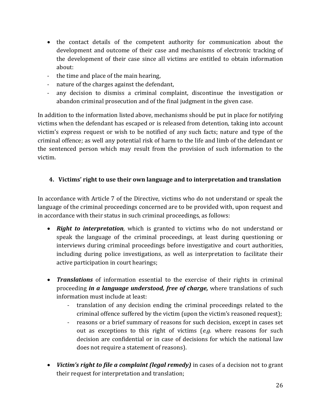- the contact details of the competent authority for communication about the development and outcome of their case and mechanisms of electronic tracking of the development of their case since all victims are entitled to obtain information about:
- the time and place of the main hearing,
- nature of the charges against the defendant,
- any decision to dismiss a criminal complaint, discontinue the investigation or abandon criminal prosecution and of the final judgment in the given case.

In addition to the information listed above, mechanisms should be put in place for notifying victims when the defendant has escaped or is released from detention, taking into account victim's express request or wish to be notified of any such facts; nature and type of the criminal offence; as well any potential risk of harm to the life and limb of the defendant or the sentenced person which may result from the provision of such information to the victim.

# **4. Victims' right to use their own language and to interpretation and translation**

In accordance with Article 7 of the Directive, victims who do not understand or speak the language of the criminal proceedings concerned are to be provided with, upon request and in accordance with their status in such criminal proceedings, as follows:

- *Right to interpretation*, which is granted to victims who do not understand or speak the language of the criminal proceedings, at least during questioning or interviews during criminal proceedings before investigative and court authorities, including during police investigations, as well as interpretation to facilitate their active participation in court hearings;
- *Translations* of information essential to the exercise of their rights in criminal proceeding *in a language understood, free of charge,* where translations of such information must include at least:
	- translation of any decision ending the criminal proceedings related to the criminal offence suffered by the victim (upon the victim's reasoned request);
	- reasons or a brief summary of reasons for such decision, except in cases set out as exceptions to this right of victims (*e.g.* where reasons for such decision are confidential or in case of decisions for which the national law does not require a statement of reasons).
- *Victim's right to file a complaint (legal remedy)* in cases of a decision not to grant their request for interpretation and translation;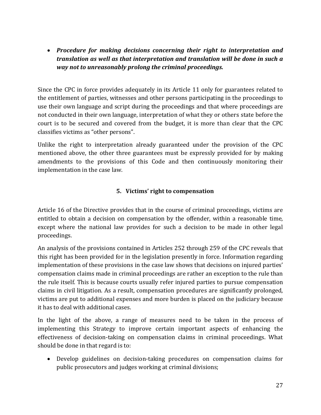*Procedure for making decisions concerning their right to interpretation and translation as well as that interpretation and translation will be done in such a way not to unreasonably prolong the criminal proceedings.* 

Since the CPC in force provides adequately in its Article 11 only for guarantees related to the entitlement of parties, witnesses and other persons participating in the proceedings to use their own language and script during the proceedings and that where proceedings are not conducted in their own language, interpretation of what they or others state before the court is to be secured and covered from the budget, it is more than clear that the CPC classifies victims as "other persons".

Unlike the right to interpretation already guaranteed under the provision of the CPC mentioned above, the other three guarantees must be expressly provided for by making amendments to the provisions of this Code and then continuously monitoring their implementation in the case law.

### **5. Victims' right to compensation**

Article 16 of the Directive provides that in the course of criminal proceedings, victims are entitled to obtain a decision on compensation by the offender, within a reasonable time, except where the national law provides for such a decision to be made in other legal proceedings.

An analysis of the provisions contained in Articles 252 through 259 of the CPC reveals that this right has been provided for in the legislation presently in force. Information regarding implementation of these provisions in the case law shows that decisions on injured parties' compensation claims made in criminal proceedings are rather an exception to the rule than the rule itself. This is because courts usually refer injured parties to pursue compensation claims in civil litigation. As a result, compensation procedures are significantly prolonged, victims are put to additional expenses and more burden is placed on the judiciary because it has to deal with additional cases.

In the light of the above, a range of measures need to be taken in the process of implementing this Strategy to improve certain important aspects of enhancing the effectiveness of decision-taking on compensation claims in criminal proceedings. What should be done in that regard is to:

 Develop guidelines on decision-taking procedures on compensation claims for public prosecutors and judges working at criminal divisions;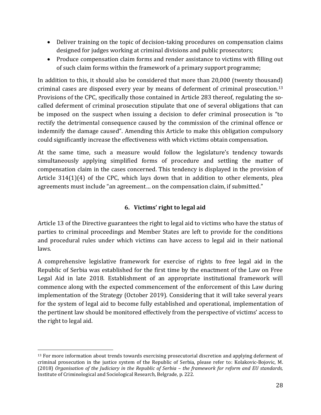- Deliver training on the topic of decision-taking procedures on compensation claims designed for judges working at criminal divisions and public prosecutors;
- Produce compensation claim forms and render assistance to victims with filling out of such claim forms within the framework of a primary support programme;

In addition to this, it should also be considered that more than 20,000 (twenty thousand) criminal cases are disposed every year by means of deferment of criminal prosecution. 13 Provisions of the CPC, specifically those contained in Article 283 thereof, regulating the socalled deferment of criminal prosecution stipulate that one of several obligations that can be imposed on the suspect when issuing a decision to defer criminal prosecution is "to rectify the detrimental consequence caused by the commission of the criminal offence or indemnify the damage caused". Amending this Article to make this obligation compulsory could significantly increase the effectiveness with which victims obtain compensation.

At the same time, such a measure would follow the legislature's tendency towards simultaneously applying simplified forms of procedure and settling the matter of compensation claim in the cases concerned. This tendency is displayed in the provision of Article 314(1)(4) of the CPC, which lays down that in addition to other elements, plea agreements must include "an agreement… on the compensation claim, if submitted."

# **6. Victims' right to legal aid**

Article 13 of the Directive guarantees the right to legal aid to victims who have the status of parties to criminal proceedings and Member States are left to provide for the conditions and procedural rules under which victims can have access to legal aid in their national laws.

A comprehensive legislative framework for exercise of rights to free legal aid in the Republic of Serbia was established for the first time by the enactment of the Law on Free Legal Aid in late 2018. Establishment of an appropriate institutional framework will commence along with the expected commencement of the enforcement of this Law during implementation of the Strategy (October 2019). Considering that it will take several years for the system of legal aid to become fully established and operational, implementation of the pertinent law should be monitored effectively from the perspective of victims' access to the right to legal aid.

 $\overline{a}$ 

<sup>&</sup>lt;sup>13</sup> For more information about trends towards exercising prosecutorial discretion and applying deferment of criminal prosecution in the justice system of the Republic of Serbia, please refer to: Kolakovic-Bojovic, M. (2018) *Organisation of the Judiciary in the Republic of Serbia – the framework for reform and EU standards,* Institute of Criminological and Sociological Research, Belgrade, p. 222.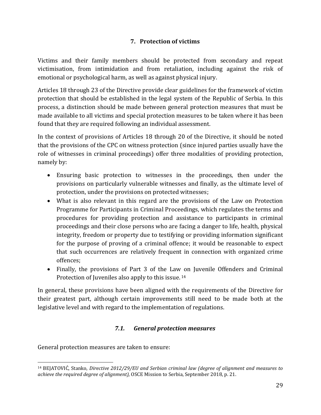### **7. Protection of victims**

Victims and their family members should be protected from secondary and repeat victimisation, from intimidation and from retaliation, including against the risk of emotional or psychological harm, as well as against physical injury.

Articles 18 through 23 of the Directive provide clear guidelines for the framework of victim protection that should be established in the legal system of the Republic of Serbia. In this process, a distinction should be made between general protection measures that must be made available to all victims and special protection measures to be taken where it has been found that they are required following an individual assessment.

In the context of provisions of Articles 18 through 20 of the Directive, it should be noted that the provisions of the CPC on witness protection (since injured parties usually have the role of witnesses in criminal proceedings) offer three modalities of providing protection, namely by:

- Ensuring basic protection to witnesses in the proceedings, then under the provisions on particularly vulnerable witnesses and finally, as the ultimate level of protection, under the provisions on protected witnesses;
- What is also relevant in this regard are the provisions of the Law on Protection Programme for Participants in Criminal Proceedings, which regulates the terms and procedures for providing protection and assistance to participants in criminal proceedings and their close persons who are facing a danger to life, health, physical integrity, freedom or property due to testifying or providing information significant for the purpose of proving of a criminal offence; it would be reasonable to expect that such occurrences are relatively frequent in connection with organized crime offences;
- Finally, the provisions of Part 3 of the Law on Juvenile Offenders and Criminal Protection of Juveniles also apply to this issue. <sup>14</sup>

In general, these provisions have been aligned with the requirements of the Directive for their greatest part, although certain improvements still need to be made both at the legislative level and with regard to the implementation of regulations.

# *7.1. General protection measures*

General protection measures are taken to ensure:

 $\overline{a}$ 

<sup>14</sup> BEJATOVIĆ, Stanko, *Directive 2012/29/ЕU and Serbian criminal law (degree of alignment and measures to achieve the required degree of alignment),* OSCE Mission to Serbia, September 2018, p. 21.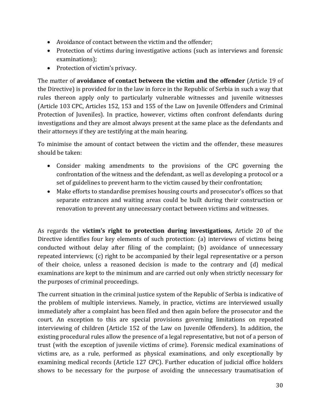- Avoidance of contact between the victim and the offender;
- Protection of victims during investigative actions (such as interviews and forensic examinations);
- Protection of victim's privacy.

The matter of **avoidance of contact between the victim and the offender** (Article 19 of the Directive) is provided for in the law in force in the Republic of Serbia in such a way that rules thereon apply only to particularly vulnerable witnesses and juvenile witnesses (Article 103 CPC, Articles 152, 153 and 155 of the Law on Juvenile Offenders and Criminal Protection of Juveniles). In practice, however, victims often confront defendants during investigations and they are almost always present at the same place as the defendants and their attorneys if they are testifying at the main hearing.

To minimise the amount of contact between the victim and the offender, these measures should be taken:

- Consider making amendments to the provisions of the CPC governing the confrontation of the witness and the defendant, as well as developing a protocol or a set of guidelines to prevent harm to the victim caused by their confrontation;
- Make efforts to standardise premises housing courts and prosecutor's offices so that separate entrances and waiting areas could be built during their construction or renovation to prevent any unnecessary contact between victims and witnesses.

As regards the **victim's right to protection during investigations,** Article 20 of the Directive identifies four key elements of such protection: (a) interviews of victims being conducted without delay after filing of the complaint; (b) avoidance of unnecessary repeated interviews; (c) right to be accompanied by their legal representative or a person of their choice, unless a reasoned decision is made to the contrary and (d) medical examinations are kept to the minimum and are carried out only when strictly necessary for the purposes of criminal proceedings.

The current situation in the criminal justice system of the Republic of Serbia is indicative of the problem of multiple interviews. Namely, in practice, victims are interviewed usually immediately after a complaint has been filed and then again before the prosecutor and the court. An exception to this are special provisions governing limitations on repeated interviewing of children (Article 152 of the Law on Juvenile Offenders). In addition, the existing procedural rules allow the presence of a legal representative, but not of a person of trust (with the exception of juvenile victims of crime). Forensic medical examinations of victims are, as a rule, performed as physical examinations, and only exceptionally by examining medical records (Article 127 CPC). Further education of judicial office holders shows to be necessary for the purpose of avoiding the unnecessary traumatisation of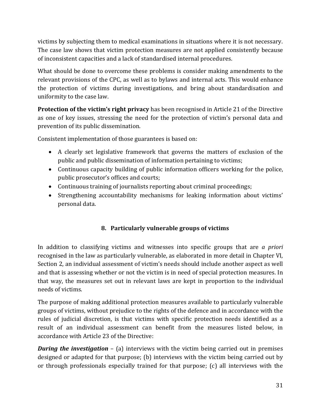victims by subjecting them to medical examinations in situations where it is not necessary. The case law shows that victim protection measures are not applied consistently because of inconsistent capacities and a lack of standardised internal procedures.

What should be done to overcome these problems is consider making amendments to the relevant provisions of the CPC, as well as to bylaws and internal acts. This would enhance the protection of victims during investigations, and bring about standardisation and uniformity to the case law.

**Protection of the victim's right privacy** has been recognised in Article 21 of the Directive as one of key issues, stressing the need for the protection of victim's personal data and prevention of its public dissemination.

Consistent implementation of those guarantees is based on:

- A clearly set legislative framework that governs the matters of exclusion of the public and public dissemination of information pertaining to victims;
- Continuous capacity building of public information officers working for the police, public prosecutor's offices and courts;
- Continuous training of journalists reporting about criminal proceedings;
- Strengthening accountability mechanisms for leaking information about victims' personal data.

# **8. Particularly vulnerable groups of victims**

In addition to classifying victims and witnesses into specific groups that are *a priori*  recognised in the law as particularly vulnerable, as elaborated in more detail in Chapter VI, Section 2, an individual assessment of victim's needs should include another aspect as well and that is assessing whether or not the victim is in need of special protection measures. In that way, the measures set out in relevant laws are kept in proportion to the individual needs of victims.

The purpose of making additional protection measures available to particularly vulnerable groups of victims, without prejudice to the rights of the defence and in accordance with the rules of judicial discretion, is that victims with specific protection needs identified as a result of an individual assessment can benefit from the measures listed below, in accordance with Article 23 of the Directive:

*During the investigation* – (a) interviews with the victim being carried out in premises designed or adapted for that purpose; (b) interviews with the victim being carried out by or through professionals especially trained for that purpose; (c) all interviews with the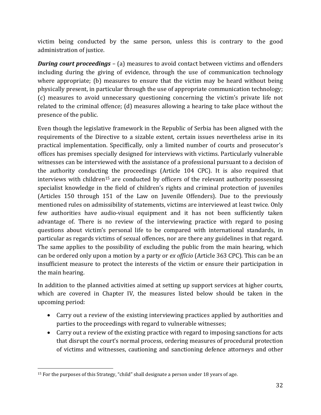victim being conducted by the same person, unless this is contrary to the good administration of justice.

*During court proceedings* – (a) measures to avoid contact between victims and offenders including during the giving of evidence, through the use of communication technology where appropriate; (b) measures to ensure that the victim may be heard without being physically present, in particular through the use of appropriate communication technology; (c) measures to avoid unnecessary questioning concerning the victim's private life not related to the criminal offence; (d) measures allowing a hearing to take place without the presence of the public.

Even though the legislative framework in the Republic of Serbia has been aligned with the requirements of the Directive to a sizable extent, certain issues nevertheless arise in its practical implementation. Speciffically, only a limited number of courts and prosecutor's offices has premises specially designed for interviews with victims. Particularly vulnerable witnesses can be interviewed with the assistance of a professional pursuant to a decision of the authority conducting the proceedings (Article 104 CPC). It is also required that interviews with children<sup>15</sup> are conducted by officers of the relevant authority possessing specialist knowledge in the field of children's rights and criminal protection of juveniles (Articles 150 through 151 of the Law on Juvenile Offenders). Due to the previously mentioned rules on admissibility of statements, victims are interviewed at least twice. Only few authorities have audio-visual equipment and it has not been sufficiently taken advantage of. There is no review of the interviewing practice with regard to posing questions about victim's personal life to be compared with international standards, in particular as regards victims of sexual offences, nor are there any guidelines in that regard. The same applies to the possibility of excluding the public from the main hearing, which can be ordered only upon a motion by a party or *ex officio* (Article 363 CPC). This can be an insufficient measure to protect the interests of the victim or ensure their participation in the main hearing.

In addition to the planned activities aimed at setting up support services at higher courts, which are covered in Chapter IV, the measures listed below should be taken in the upcoming period:

- Carry out a review of the existing interviewing practices applied by authorities and parties to the proceedings with regard to vulnerable witnesses;
- Carry out a review of the existing practice with regard to imposing sanctions for acts that disrupt the court's normal process, ordering measures of procedural protection of victims and witnesses, cautioning and sanctioning defence attorneys and other

l <sup>15</sup> For the purposes of this Strategy, "child" shall designate a person under 18 years of age.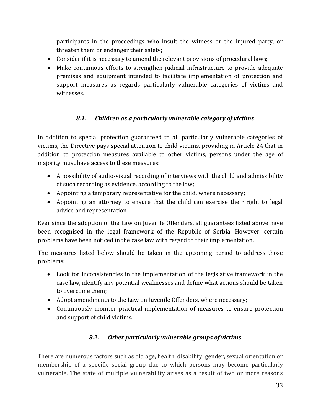participants in the proceedings who insult the witness or the injured party, or threaten them or endanger their safety;

- Consider if it is necessary to amend the relevant provisions of procedural laws;
- Make continuous efforts to strengthen judicial infrastructure to provide adequate premises and equipment intended to facilitate implementation of protection and support measures as regards particularly vulnerable categories of victims and witnesses.

# *8.1. Children as a particularly vulnerable category of victims*

In addition to special protection guaranteed to all particularly vulnerable categories of victims, the Directive pays special attention to child victims, providing in Article 24 that in addition to protection measures available to other victims, persons under the age of majority must have access to these measures:

- A possibility of audio-visual recording of interviews with the child and admissibility of such recording as evidence, according to the law;
- Appointing a temporary representative for the child, where necessary;
- Appointing an attorney to ensure that the child can exercise their right to legal advice and representation.

Ever since the adoption of the Law on Juvenile Offenders, all guarantees listed above have been recognised in the legal framework of the Republic of Serbia. However, certain problems have been noticed in the case law with regard to their implementation.

The measures listed below should be taken in the upcoming period to address those problems:

- Look for inconsistencies in the implementation of the legislative framework in the case law, identify any potential weaknesses and define what actions should be taken to overcome them;
- Adopt amendments to the Law on Juvenile Offenders, where necessary;
- Continuously monitor practical implementation of measures to ensure protection and support of child victims.

# *8.2. Other particularly vulnerable groups of victims*

There are numerous factors such as old age, health, disability, gender, sexual orientation or membership of a specific social group due to which persons may become particularly vulnerable. The state of multiple vulnerability arises as a result of two or more reasons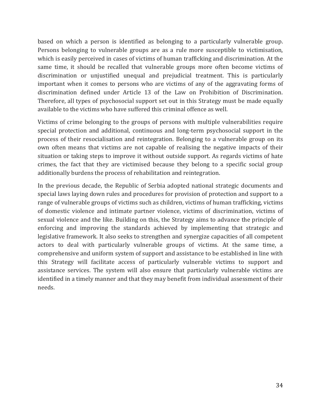based on which a person is identified as belonging to a particularly vulnerable group. Persons belonging to vulnerable groups are as a rule more susceptible to victimisation, which is easily perceived in cases of victims of human trafficking and discrimination. At the same time, it should be recalled that vulnerable groups more often become victims of discrimination or unjustified unequal and prejudicial treatment. This is particularly important when it comes to persons who are victims of any of the aggravating forms of discrimination defined under Article 13 of the Law on Prohibition of Discrimination. Therefore, all types of psychosocial support set out in this Strategy must be made equally available to the victims who have suffered this criminal offence as well.

Victims of crime belonging to the groups of persons with multiple vulnerabilities require special protection and additional, continuous and long-term psychosocial support in the process of their resocialisation and reintegration. Belonging to a vulnerable group on its own often means that victims are not capable of realising the negative impacts of their situation or taking steps to improve it without outside support. As regards victims of hate crimes, the fact that they are victimised because they belong to a specific social group additionally burdens the process of rehabilitation and reintegration.

In the previous decade, the Republic of Serbia adopted national strategic documents and special laws laying down rules and procedures for provision of protection and support to a range of vulnerable groups of victims such as children, victims of human trafficking, victims of domestic violence and intimate partner violence, victims of discrimination, victims of sexual violence and the like. Building on this, the Strategy aims to advance the principle of enforcing and improving the standards achieved by implementing that strategic and legislative framework. It also seeks to strengthen and synergize capacities of all competent actors to deal with particularly vulnerable groups of victims. At the same time, a comprehensive and uniform system of support and assistance to be established in line with this Strategy will facilitate access of particularly vulnerable victims to support and assistance services. The system will also ensure that particularly vulnerable victims are identified in a timely manner and that they may benefit from individual assessment of their needs.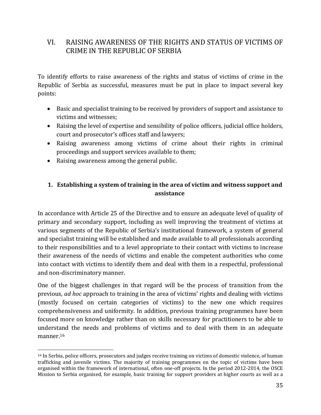# VI. RAISING AWARENESS OF THE RIGHTS AND STATUS OF VICTIMS OF CRIME IN THE REPUBLIC OF SERBIA

To identify efforts to raise awareness of the rights and status of victims of crime in the Republic of Serbia as successful, measures must be put in place to impact several key points:

- Basic and specialist training to be received by providers of support and assistance to victims and witnesses;
- Raising the level of expertise and sensibility of police officers, judicial office holders, court and prosecutor's offices staff and lawyers;
- Raising awareness among victims of crime about their rights in criminal proceedings and support services available to them;
- Raising awareness among the general public.

 $\overline{a}$ 

### **1. Establishing a system of training in the area of victim and witness support and assistance**

In accordance with Article 25 of the Directive and to ensure an adequate level of quality of primary and secondary support, including as well improving the treatment of victims at various segments of the Republic of Serbia's institutional framework, a system of general and specialist training will be established and made available to all professionals according to their responsibilities and to a level appropriate to their contact with victims to increase their awareness of the needs of victims and enable the competent authorities who come into contact with victims to identify them and deal with them in a respectful, professional and non-discriminatory manner.

One of the biggest challenges in that regard will be the process of transition from the previous, *ad hoc* approach to training in the area of victims' rights and dealing with victims (mostly focused on certain categories of victims) to the new one which requires comprehensiveness and uniformity. In addition, previous training programmes have been focused more on knowledge rather than on skills necessary for practitioners to be able to understand the needs and problems of victims and to deal with them in an adequate manner.<sup>16</sup>

<sup>&</sup>lt;sup>16</sup> In Serbia, police officers, prosecutors and judges receive training on victims of domestic violence, of human trafficking and juvenile victims. The majority of training programmes on the topic of victims have been organised within the framework of international, often one-off projects. In the period 2012-2014, the OSCE Mission to Serbia organised, for example, basic training for support providers at higher courts as well as a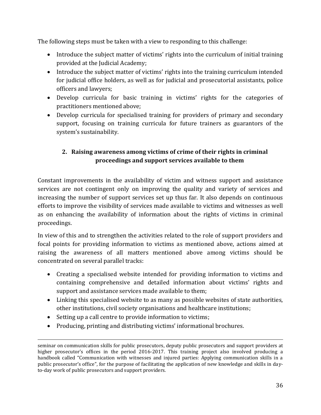The following steps must be taken with a view to responding to this challenge:

- Introduce the subject matter of victims' rights into the curriculum of initial training provided at the Judicial Academy;
- Introduce the subject matter of victims' rights into the training curriculum intended for judicial office holders, as well as for judicial and prosecutorial assistants, police officers and lawyers;
- Develop curricula for basic training in victims' rights for the categories of practitioners mentioned above;
- Develop curricula for specialised training for providers of primary and secondary support, focusing on training curricula for future trainers as guarantors of the system's sustainability.

# **2. Raising awareness among victims of crime of their rights in criminal proceedings and support services available to them**

Constant improvements in the availability of victim and witness support and assistance services are not contingent only on improving the quality and variety of services and increasing the number of support services set up thus far. It also depends on continuous efforts to improve the visibility of services made available to victims and witnesses as well as on enhancing the availability of information about the rights of victims in criminal proceedings.

In view of this and to strengthen the activities related to the role of support providers and focal points for providing information to victims as mentioned above, actions aimed at raising the awareness of all matters mentioned above among victims should be concentrated on several parallel tracks:

- Creating a specialised website intended for providing information to victims and containing comprehensive and detailed information about victims' rights and support and assistance services made available to them;
- Linking this specialised website to as many as possible websites of state authorities, other institutions, civil society organisations and healthcare institutions;
- Setting up a call centre to provide information to victims;

 $\overline{a}$ 

• Producing, printing and distributing victims' informational brochures.

seminar on communication skills for public prosecutors, deputy public prosecutors and support providers at higher prosecutor's offices in the period 2016-2017. This training project also involved producing a handbook called "Communication with witnesses and injured parties: Applying communication skills in a public prosecutor's office", for the purpose of facilitating the application of new knowledge and skills in dayto-day work of public prosecutors and support providers.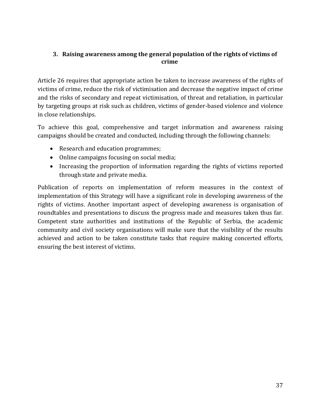### **3. Raising awareness among the general population of the rights of victims of crime**

Article 26 requires that appropriate action be taken to increase awareness of the rights of victims of crime, reduce the risk of victimisation and decrease the negative impact of crime and the risks of secondary and repeat victimisation, of threat and retaliation, in particular by targeting groups at risk such as children, victims of gender-based violence and violence in close relationships.

To achieve this goal, comprehensive and target information and awareness raising campaigns should be created and conducted, including through the following channels:

- Research and education programmes;
- Online campaigns focusing on social media;
- Increasing the proportion of information regarding the rights of victims reported through state and private media.

Publication of reports on implementation of reform measures in the context of implementation of this Strategy will have a significant role in developing awareness of the rights of victims. Another important aspect of developing awareness is organisation of roundtables and presentations to discuss the progress made and measures taken thus far. Competent state authorities and institutions of the Republic of Serbia, the academic community and civil society organisations will make sure that the visibility of the results achieved and action to be taken constitute tasks that require making concerted efforts, ensuring the best interest of victims.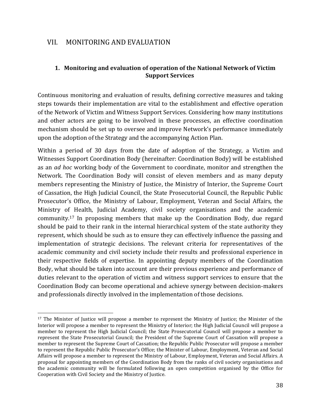# VII. MONITORING AND EVALUATION

 $\overline{a}$ 

#### **1. Monitoring and evaluation of operation of the National Network of Victim Support Services**

Continuous monitoring and evaluation of results, defining corrective measures and taking steps towards their implementation are vital to the establishment and effective operation of the Network of Victim and Witness Support Services. Considering how many institutions and other actors are going to be involved in these processes, an effective coordination mechanism should be set up to oversee and improve Network's performance immediately upon the adoption of the Strategy and the accompanying Action Plan.

Within a period of 30 days from the date of adoption of the Strategy, a Victim and Witnesses Support Coordination Body (hereinafter: Coordination Body) will be established as an *ad hoc* working body of the Government to coordinate, monitor and strengthen the Network. The Coordination Body will consist of eleven members and as many deputy members representing the Ministry of Justice, the Ministry of Interior, the Supreme Court of Cassation, the High Judicial Council, the State Prosecutorial Council, the Republic Public Prosecutor's Office, the Ministry of Labour, Employment, Veteran and Social Affairs, the Ministry of Health, Judicial Academy, civil society organisations and the academic community.<sup>17</sup> In proposing members that make up the Coordination Body, due regard should be paid to their rank in the internal hierarchical system of the state authority they represent, which should be such as to ensure they can effectively influence the passing and implementation of strategic decisions. The relevant criteria for representatives of the academic community and civil society include their results and professional experience in their respective fields of expertise. In appointing deputy members of the Coordination Body, what should be taken into account are their previous experience and performance of duties relevant to the operation of victim and witness support services to ensure that the Coordination Body can become operational and achieve synergy between decision-makers and professionals directly involved in the implementation of those decisions.

<sup>&</sup>lt;sup>17</sup> The Minister of Justice will propose a member to represent the Ministry of Justice; the Minister of the Interior will propose a member to represent the Ministry of Interior; the High Judicial Council will propose a member to represent the High Judicial Council; the State Prosecutorial Council will propose a member to represent the State Prosecutorial Council; the President of the Supreme Court of Cassation will propose a member to represent the Supreme Court of Cassation; the Republic Public Prosecutor will propose a member to represent the Republic Public Prosecutor's Office; the Minister of Labour, Employment, Veteran and Social Affairs will propose a member to represent the Ministry of Labour, Employment, Veteran and Social Affairs. A proposal for appointing members of the Coordination Body from the ranks of civil society organisations and the academic community will be formulated following an open competition organised by the Office for Cooperation with Civil Society and the Ministry of Justice.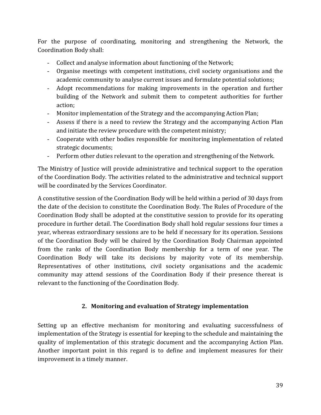For the purpose of coordinating, monitoring and strengthening the Network, the Coordination Body shall:

- Collect and analyse information about functioning of the Network;
- Organise meetings with competent institutions, civil society organisations and the academic community to analyse current issues and formulate potential solutions;
- Adopt recommendations for making improvements in the operation and further building of the Network and submit them to competent authorities for further action;
- Monitor implementation of the Strategy and the accompanying Action Plan;
- Assess if there is a need to review the Strategy and the accompanying Action Plan and initiate the review procedure with the competent ministry;
- Cooperate with other bodies responsible for monitoring implementation of related strategic documents;
- Perform other duties relevant to the operation and strengthening of the Network.

The Ministry of Justice will provide administrative and technical support to the operation of the Coordination Body. The activities related to the administrative and technical support will be coordinated by the Services Coordinator.

A constitutive session of the Coordination Body will be held within a period of 30 days from the date of the decision to constitute the Coordination Body. The Rules of Procedure of the Coordination Body shall be adopted at the constitutive session to provide for its operating procedure in further detail. The Coordination Body shall hold regular sessions four times a year, whereas extraordinary sessions are to be held if necessary for its operation. Sessions of the Coordination Body will be chaired by the Coordination Body Chairman appointed from the ranks of the Coordination Body membership for a term of one year. The Coordination Body will take its decisions by majority vote of its membership. Representatives of other institutions, civil society organisations and the academic community may attend sessions of the Coordination Body if their presence thereat is relevant to the functioning of the Coordination Body.

### **2. Monitoring and evaluation of Strategy implementation**

Setting up an effective mechanism for monitoring and evaluating successfulness of implementation of the Strategy is essential for keeping to the schedule and maintaining the quality of implementation of this strategic document and the accompanying Action Plan. Another important point in this regard is to define and implement measures for their improvement in a timely manner.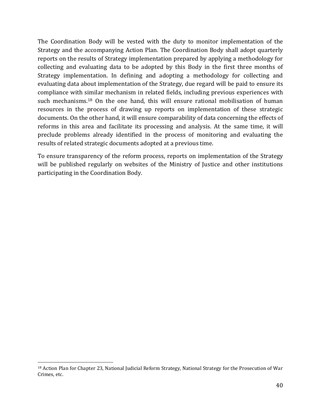The Coordination Body will be vested with the duty to monitor implementation of the Strategy and the accompanying Action Plan. The Coordination Body shall adopt quarterly reports on the results of Strategy implementation prepared by applying a methodology for collecting and evaluating data to be adopted by this Body in the first three months of Strategy implementation. In defining and adopting a methodology for collecting and evaluating data about implementation of the Strategy, due regard will be paid to ensure its compliance with similar mechanism in related fields, including previous experiences with such mechanisms. <sup>18</sup> On the one hand, this will ensure rational mobilisation of human resources in the process of drawing up reports on implementation of these strategic documents. On the other hand, it will ensure comparability of data concerning the effects of reforms in this area and facilitate its processing and analysis. At the same time, it will preclude problems already identified in the process of monitoring and evaluating the results of related strategic documents adopted at a previous time.

To ensure transparency of the reform process, reports on implementation of the Strategy will be published regularly on websites of the Ministry of Justice and other institutions participating in the Coordination Body.

 $\overline{a}$ 

<sup>&</sup>lt;sup>18</sup> Action Plan for Chapter 23, National Judicial Reform Strategy, National Strategy for the Prosecution of War Crimes, etc.